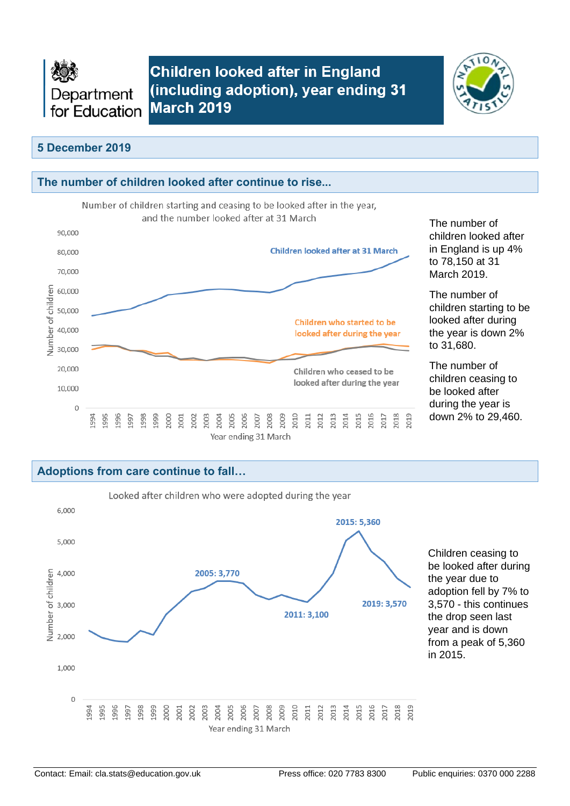

**Children looked after in England** (including adoption), year ending 31 **March 2019** 



### **5 December 2019**



## **Adoptions from care continue to fall…**

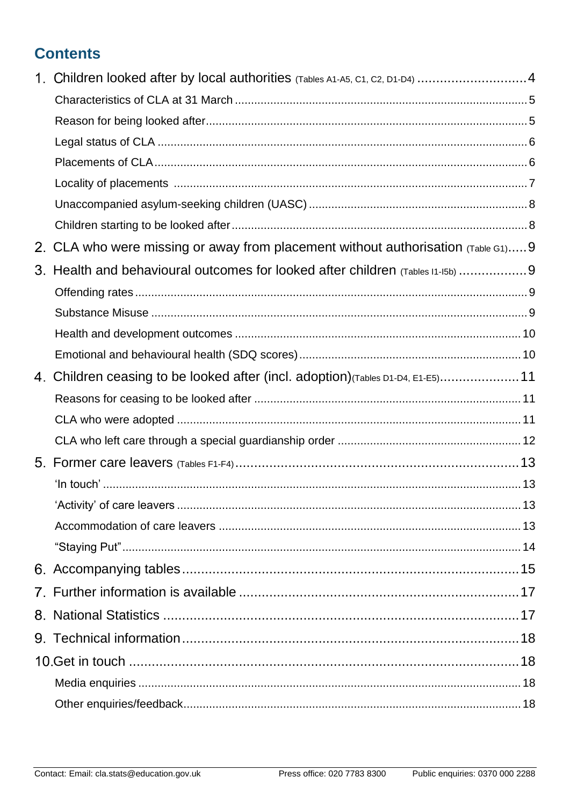# **Contents**

|    | 1. Children looked after by local authorities (Tables A1-A5, C1, C2, D1-D4) 4   |  |
|----|---------------------------------------------------------------------------------|--|
|    |                                                                                 |  |
|    |                                                                                 |  |
|    |                                                                                 |  |
|    |                                                                                 |  |
|    |                                                                                 |  |
|    |                                                                                 |  |
|    |                                                                                 |  |
| 2. | CLA who were missing or away from placement without authorisation (Table G1)9   |  |
| 3. | Health and behavioural outcomes for looked after children (Tables 11-15b) 9     |  |
|    |                                                                                 |  |
|    |                                                                                 |  |
|    |                                                                                 |  |
|    |                                                                                 |  |
|    | 4. Children ceasing to be looked after (incl. adoption) (Tables D1-D4, E1-E5)11 |  |
|    |                                                                                 |  |
|    |                                                                                 |  |
|    |                                                                                 |  |
|    |                                                                                 |  |
|    |                                                                                 |  |
|    |                                                                                 |  |
|    |                                                                                 |  |
|    |                                                                                 |  |
|    |                                                                                 |  |
|    |                                                                                 |  |
|    |                                                                                 |  |
|    |                                                                                 |  |
|    |                                                                                 |  |
|    |                                                                                 |  |
|    |                                                                                 |  |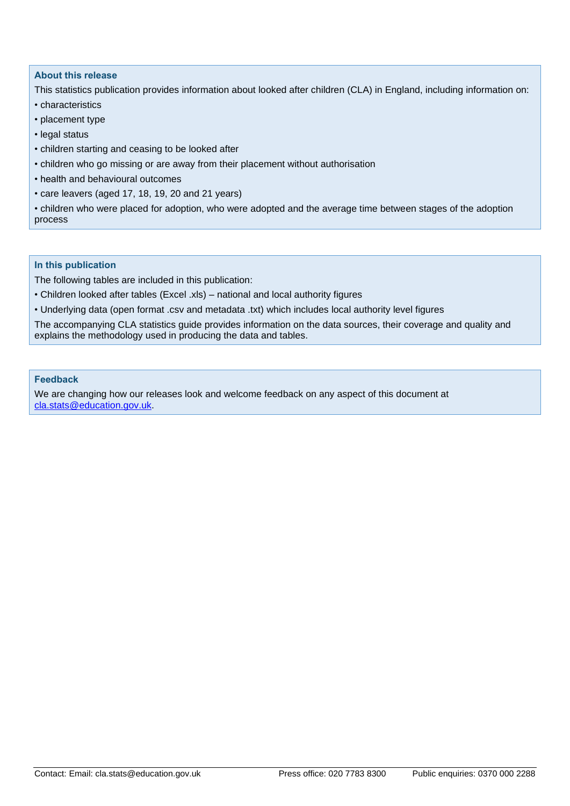#### **About this release**

This statistics publication provides information about looked after children (CLA) in England, including information on:

- characteristics
- placement type
- legal status
- children starting and ceasing to be looked after
- children who go missing or are away from their placement without authorisation
- health and behavioural outcomes
- care leavers (aged 17, 18, 19, 20 and 21 years)

• children who were placed for adoption, who were adopted and the average time between stages of the adoption process

#### **In this publication**

The following tables are included in this publication:

- Children looked after tables (Excel .xls) national and local authority figures
- Underlying data (open format .csv and metadata .txt) which includes local authority level figures

The accompanying CLA statistics guide provides information on the data sources, their coverage and quality and explains the methodology used in producing the data and tables.

#### **Feedback**

We are changing how our releases look and welcome feedback on any aspect of this document at [cla.stats@education.gov.uk.](mailto:cla.stats@education.gov.uk)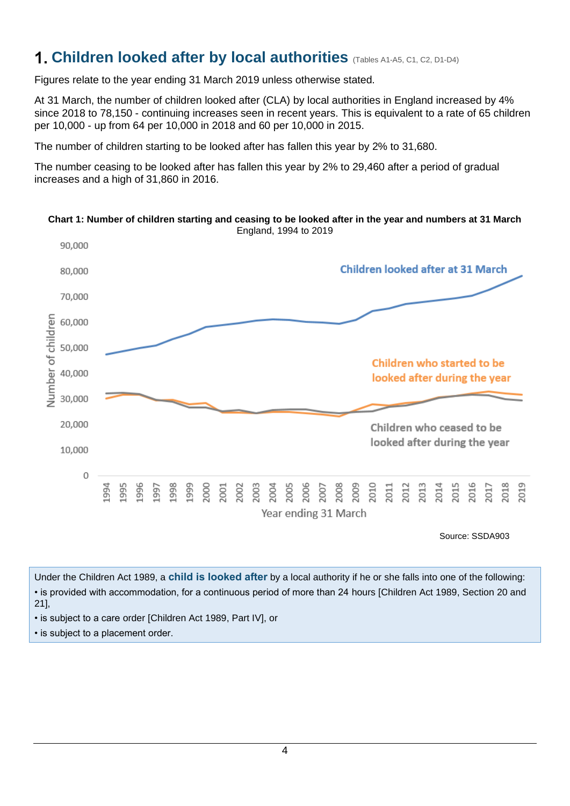# <span id="page-3-0"></span>**1. Children looked after by local authorities** (Tables A1-A5, C1, C2, D1-D4)

Figures relate to the year ending 31 March 2019 unless otherwise stated.

At 31 March, the number of children looked after (CLA) by local authorities in England increased by 4% since 2018 to 78,150 - continuing increases seen in recent years. This is equivalent to a rate of 65 children per 10,000 - up from 64 per 10,000 in 2018 and 60 per 10,000 in 2015.

The number of children starting to be looked after has fallen this year by 2% to 31,680.

The number ceasing to be looked after has fallen this year by 2% to 29,460 after a period of gradual increases and a high of 31,860 in 2016.



**Chart 1: Number of children starting and ceasing to be looked after in the year and numbers at 31 March** England, 1994 to 2019

Source: SSDA903

Under the Children Act 1989, a **child is looked after** by a local authority if he or she falls into one of the following: • is provided with accommodation, for a continuous period of more than 24 hours [Children Act 1989, Section 20 and 21],

• is subject to a care order [Children Act 1989, Part IV], or

• is subject to a placement order.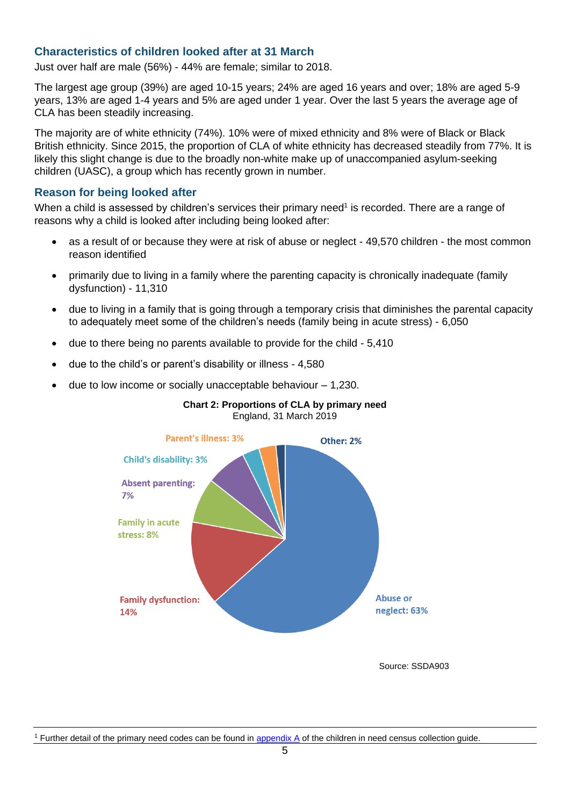#### <span id="page-4-0"></span>**Characteristics of children looked after at 31 March**

Just over half are male (56%) - 44% are female; similar to 2018.

The largest age group (39%) are aged 10-15 years; 24% are aged 16 years and over; 18% are aged 5-9 years, 13% are aged 1-4 years and 5% are aged under 1 year. Over the last 5 years the average age of CLA has been steadily increasing.

The majority are of white ethnicity (74%). 10% were of mixed ethnicity and 8% were of Black or Black British ethnicity. Since 2015, the proportion of CLA of white ethnicity has decreased steadily from 77%. It is likely this slight change is due to the broadly non-white make up of unaccompanied asylum-seeking children (UASC), a group which has recently grown in number.

#### <span id="page-4-1"></span>**Reason for being looked after**

When a child is assessed by children's services their primary need<sup>1</sup> is recorded. There are a range of reasons why a child is looked after including being looked after:

- as a result of or because they were at risk of abuse or neglect 49,570 children the most common reason identified
- primarily due to living in a family where the parenting capacity is chronically inadequate (family dysfunction) - 11,310
- due to living in a family that is going through a temporary crisis that diminishes the parental capacity to adequately meet some of the children's needs (family being in acute stress) - 6,050
- due to there being no parents available to provide for the child 5,410
- due to the child's or parent's disability or illness 4,580
- due to low income or socially unacceptable behaviour  $-1,230$ .



#### **Chart 2: Proportions of CLA by primary need** England, 31 March 2019

Source: SSDA903

<span id="page-4-2"></span><sup>1</sup> Further detail of the primary need codes can be found in appendix  $\overline{A}$  of the children in need census collection guide.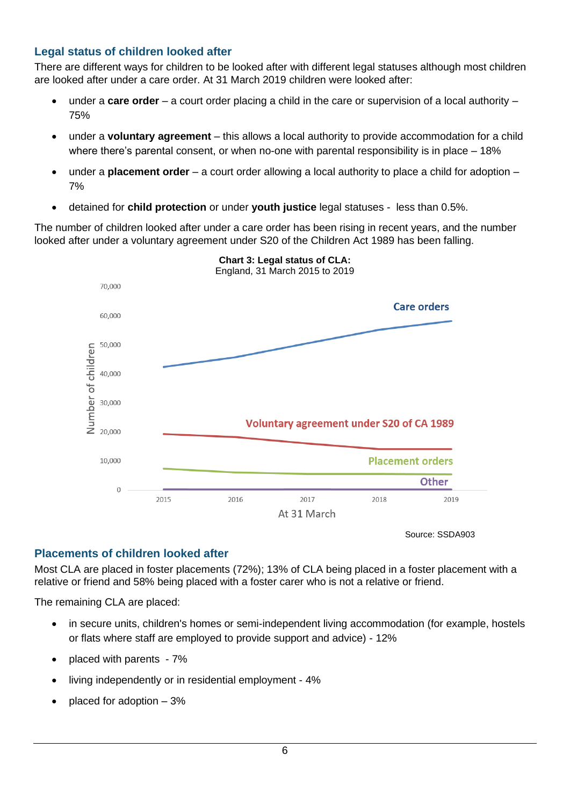# **Legal status of children looked after**

There are different ways for children to be looked after with different legal statuses although most children are looked after under a care order. At 31 March 2019 children were looked after:

- under a **care order** a court order placing a child in the care or supervision of a local authority 75%
- under a **voluntary agreement** this allows a local authority to provide accommodation for a child where there's parental consent, or when no-one with parental responsibility is in place – 18%
- under a **placement order** a court order allowing a local authority to place a child for adoption 7%
- detained for **child protection** or under **youth justice** legal statuses less than 0.5%.

The number of children looked after under a care order has been rising in recent years, and the number looked after under a voluntary agreement under S20 of the Children Act 1989 has been falling.



**Chart 3: Legal status of CLA:** England, 31 March 2015 to 2019

Source: SSDA903

## <span id="page-5-0"></span>**Placements of children looked after**

Most CLA are placed in foster placements (72%); 13% of CLA being placed in a foster placement with a relative or friend and 58% being placed with a foster carer who is not a relative or friend.

The remaining CLA are placed:

- in secure units, children's homes or semi-independent living accommodation (for example, hostels or flats where staff are employed to provide support and advice) - 12%
- placed with parents 7%
- living independently or in residential employment 4%
- placed for adoption 3%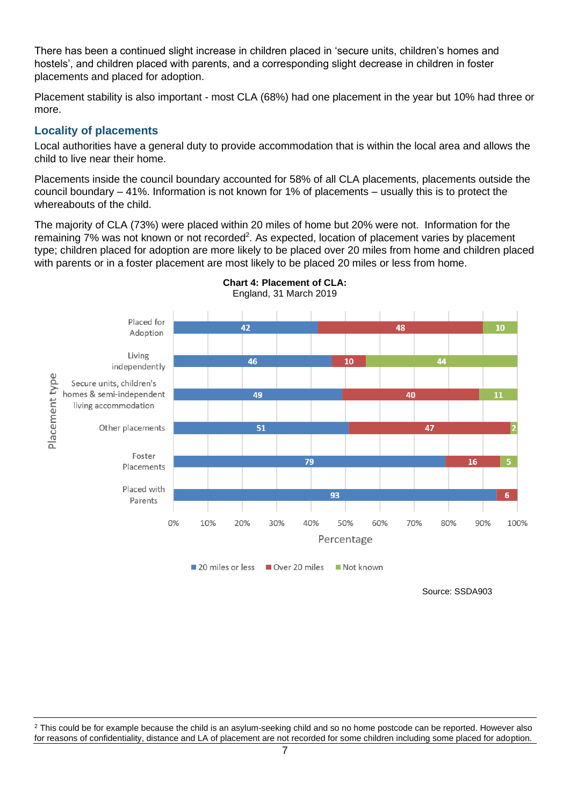There has been a continued slight increase in children placed in 'secure units, children's homes and hostels', and children placed with parents, and a corresponding slight decrease in children in foster placements and placed for adoption.

Placement stability is also important - most CLA (68%) had one placement in the year but 10% had three or more.

### <span id="page-6-0"></span>**Locality of placements**

Local authorities have a general duty to provide accommodation that is within the local area and allows the child to live near their home.

Placements inside the council boundary accounted for 58% of all CLA placements, placements outside the council boundary – 41%. Information is not known for 1% of placements – usually this is to protect the whereabouts of the child.

The majority of CLA (73%) were placed within 20 miles of home but 20% were not. Information for the remaining 7% was not known or not recorded<sup>2</sup>. As expected, location of placement varies by placement type; children placed for adoption are more likely to be placed over 20 miles from home and children placed with parents or in a foster placement are most likely to be placed 20 miles or less from home.



**Chart 4: Placement of CLA:** England, 31 March 2019

<span id="page-6-1"></span><sup>2</sup> This could be for example because the child is an asylum-seeking child and so no home postcode can be reported. However also for reasons of confidentiality, distance and LA of placement are not recorded for some children including some placed for adoption.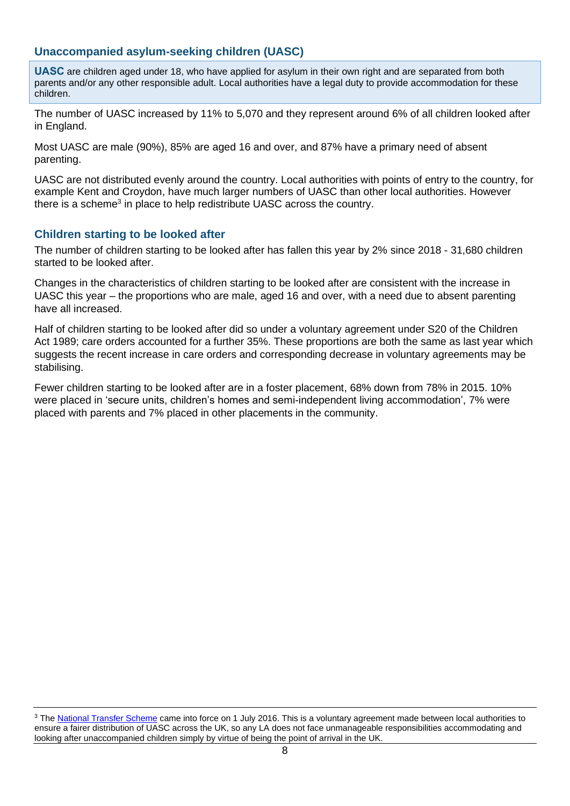### **Unaccompanied asylum-seeking children (UASC)**

**UASC** are children aged under 18, who have applied for asylum in their own right and are separated from both parents and/or any other responsible adult. Local authorities have a legal duty to provide accommodation for these children.

The number of UASC increased by 11% to 5,070 and they represent around 6% of all children looked after in England.

Most UASC are male (90%), 85% are aged 16 and over, and 87% have a primary need of absent parenting.

UASC are not distributed evenly around the country. Local authorities with points of entry to the country, for example Kent and Croydon, have much larger numbers of UASC than other local authorities. However there is a scheme<sup>3</sup> in place to help redistribute UASC across the country.

#### <span id="page-7-0"></span>**Children starting to be looked after**

The number of children starting to be looked after has fallen this year by 2% since 2018 - 31,680 children started to be looked after.

Changes in the characteristics of children starting to be looked after are consistent with the increase in UASC this year – the proportions who are male, aged 16 and over, with a need due to absent parenting have all increased.

Half of children starting to be looked after did so under a voluntary agreement under S20 of the Children Act 1989; care orders accounted for a further 35%. These proportions are both the same as last year which suggests the recent increase in care orders and corresponding decrease in voluntary agreements may be stabilising.

<span id="page-7-1"></span>Fewer children starting to be looked after are in a foster placement, 68% down from 78% in 2015. 10% were placed in 'secure units, children's homes and semi-independent living accommodation', 7% were placed with parents and 7% placed in other placements in the community.

<sup>3</sup> The [National Transfer Scheme](https://www.gov.uk/government/publications/unaccompanied-asylum-seeking-children-interim-national-transfer-scheme) came into force on 1 July 2016. This is a voluntary agreement made between local authorities to ensure a fairer distribution of UASC across the UK, so any LA does not face unmanageable responsibilities accommodating and looking after unaccompanied children simply by virtue of being the point of arrival in the UK.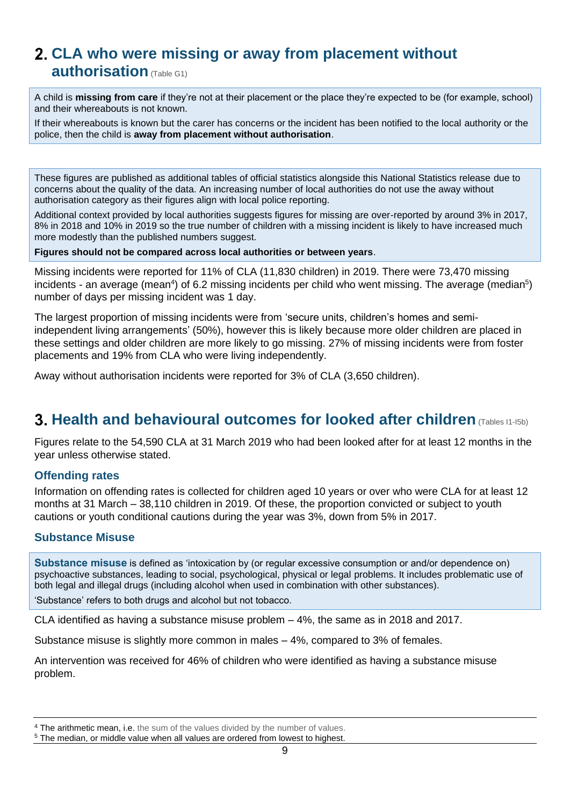# **CLA who were missing or away from placement without**

**authorisation** (Table G1)

A child is **missing from care** if they're not at their placement or the place they're expected to be (for example, school) and their whereabouts is not known.

If their whereabouts is known but the carer has concerns or the incident has been notified to the local authority or the police, then the child is **away from placement without authorisation**.

These figures are published as additional tables of official statistics alongside this National Statistics release due to concerns about the quality of the data. An increasing number of local authorities do not use the away without authorisation category as their figures align with local police reporting.

Additional context provided by local authorities suggests figures for missing are over-reported by around 3% in 2017, 8% in 2018 and 10% in 2019 so the true number of children with a missing incident is likely to have increased much more modestly than the published numbers suggest.

**Figures should not be compared across local authorities or between years**.

Missing incidents were reported for 11% of CLA (11,830 children) in 2019. There were 73,470 missing incidents - an average (mean<sup>4</sup>) of 6.2 missing incidents per child who went missing. The average (median<sup>5</sup>) number of days per missing incident was 1 day.

The largest proportion of missing incidents were from 'secure units, children's homes and semiindependent living arrangements' (50%), however this is likely because more older children are placed in these settings and older children are more likely to go missing. 27% of missing incidents were from foster placements and 19% from CLA who were living independently.

Away without authorisation incidents were reported for 3% of CLA (3,650 children).

# <span id="page-8-0"></span>**3. Health and behavioural outcomes for looked after children** (Tables 11-15b)

Figures relate to the 54,590 CLA at 31 March 2019 who had been looked after for at least 12 months in the year unless otherwise stated.

## <span id="page-8-1"></span>**Offending rates**

Information on offending rates is collected for children aged 10 years or over who were CLA for at least 12 months at 31 March – 38,110 children in 2019. Of these, the proportion convicted or subject to youth cautions or youth conditional cautions during the year was 3%, down from 5% in 2017.

#### <span id="page-8-2"></span>**Substance Misuse**

**Substance misuse** is defined as 'intoxication by (or regular excessive consumption or and/or dependence on) psychoactive substances, leading to social, psychological, physical or legal problems. It includes problematic use of both legal and illegal drugs (including alcohol when used in combination with other substances).

'Substance' refers to both drugs and alcohol but not tobacco.

CLA identified as having a substance misuse problem – 4%, the same as in 2018 and 2017.

Substance misuse is slightly more common in males  $-4\%$ , compared to 3% of females.

<span id="page-8-3"></span>An intervention was received for 46% of children who were identified as having a substance misuse problem.

<sup>4</sup> The arithmetic mean, i.e. the sum of the values divided by the number of values.

<sup>5</sup> The median, or middle value when all values are ordered from lowest to highest.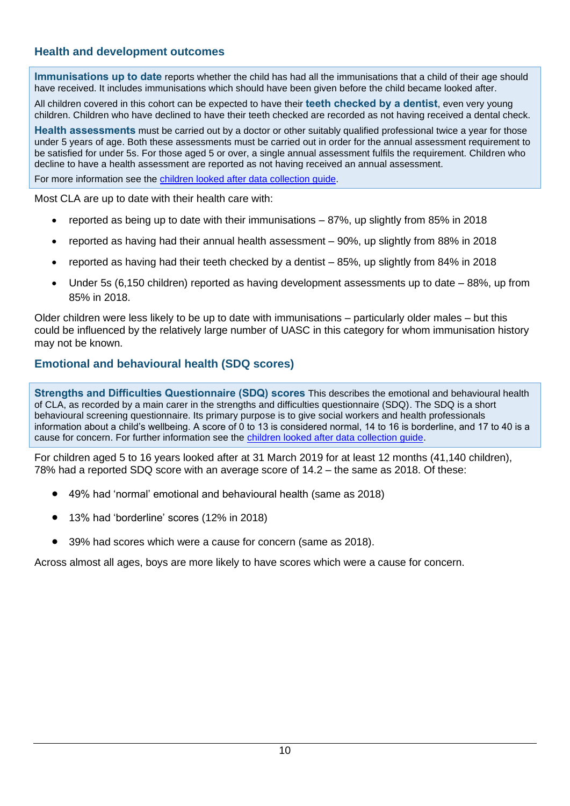### **Health and development outcomes**

**Immunisations up to date** reports whether the child has had all the immunisations that a child of their age should have received. It includes immunisations which should have been given before the child became looked after.

All children covered in this cohort can be expected to have their **teeth checked by a dentist**, even very young children. Children who have declined to have their teeth checked are recorded as not having received a dental check.

**Health assessments** must be carried out by a doctor or other suitably qualified professional twice a year for those under 5 years of age. Both these assessments must be carried out in order for the annual assessment requirement to be satisfied for under 5s. For those aged 5 or over, a single annual assessment fulfils the requirement. Children who decline to have a health assessment are reported as not having received an annual assessment.

For more information see the [children looked after data collection guide.](https://www.gov.uk/government/publications/children-looked-after-return-2017-to-2018-guide)

Most CLA are up to date with their health care with:

- reported as being up to date with their immunisations 87%, up slightly from 85% in 2018
- reported as having had their annual health assessment 90%, up slightly from 88% in 2018
- reported as having had their teeth checked by a dentist 85%, up slightly from 84% in 2018
- Under 5s (6,150 children) reported as having development assessments up to date 88%, up from 85% in 2018.

Older children were less likely to be up to date with immunisations – particularly older males – but this could be influenced by the relatively large number of UASC in this category for whom immunisation history may not be known.

## <span id="page-9-0"></span>**Emotional and behavioural health (SDQ scores)**

**Strengths and Difficulties Questionnaire (SDQ) scores** This describes the emotional and behavioural health of CLA, as recorded by a main carer in the strengths and difficulties questionnaire (SDQ). The SDQ is a short behavioural screening questionnaire. Its primary purpose is to give social workers and health professionals information about a child's wellbeing. A score of 0 to 13 is considered normal, 14 to 16 is borderline, and 17 to 40 is a cause for concern. For further information see the [children looked after data collection guide.](https://www.gov.uk/government/publications/children-looked-after-return-2017-to-2018-guide)

For children aged 5 to 16 years looked after at 31 March 2019 for at least 12 months (41,140 children), 78% had a reported SDQ score with an average score of 14.2 – the same as 2018. Of these:

- 49% had 'normal' emotional and behavioural health (same as 2018)
- 13% had 'borderline' scores (12% in 2018)
- 39% had scores which were a cause for concern (same as 2018).

Across almost all ages, boys are more likely to have scores which were a cause for concern.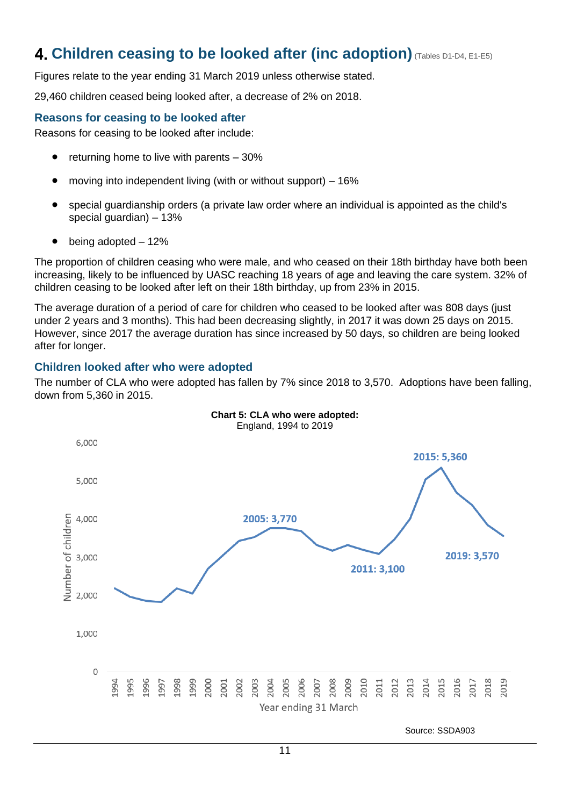# <span id="page-10-0"></span>**Children ceasing to be looked after (inc adoption)**(Tables D1-D4, E1-E5)

Figures relate to the year ending 31 March 2019 unless otherwise stated.

29,460 children ceased being looked after, a decrease of 2% on 2018.

### <span id="page-10-1"></span>**Reasons for ceasing to be looked after**

Reasons for ceasing to be looked after include:

- $\bullet$  returning home to live with parents  $-30\%$
- moving into independent living (with or without support) 16%
- special guardianship orders (a private law order where an individual is appointed as the child's special guardian) – 13%
- being adopted 12%

The proportion of children ceasing who were male, and who ceased on their 18th birthday have both been increasing, likely to be influenced by UASC reaching 18 years of age and leaving the care system. 32% of children ceasing to be looked after left on their 18th birthday, up from 23% in 2015.

The average duration of a period of care for children who ceased to be looked after was 808 days (just under 2 years and 3 months). This had been decreasing slightly, in 2017 it was down 25 days on 2015. However, since 2017 the average duration has since increased by 50 days, so children are being looked after for longer.

#### <span id="page-10-2"></span>**Children looked after who were adopted**

The number of CLA who were adopted has fallen by 7% since 2018 to 3,570. Adoptions have been falling, down from 5,360 in 2015.



Source: SSDA903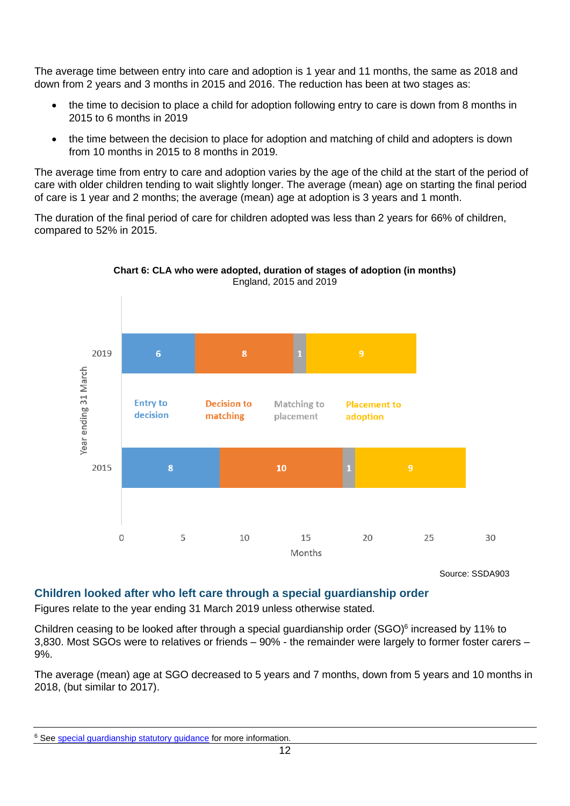The average time between entry into care and adoption is 1 year and 11 months, the same as 2018 and down from 2 years and 3 months in 2015 and 2016. The reduction has been at two stages as:

- the time to decision to place a child for adoption following entry to care is down from 8 months in 2015 to 6 months in 2019
- the time between the decision to place for adoption and matching of child and adopters is down from 10 months in 2015 to 8 months in 2019.

The average time from entry to care and adoption varies by the age of the child at the start of the period of care with older children tending to wait slightly longer. The average (mean) age on starting the final period of care is 1 year and 2 months; the average (mean) age at adoption is 3 years and 1 month.

The duration of the final period of care for children adopted was less than 2 years for 66% of children, compared to 52% in 2015.



**Chart 6: CLA who were adopted, duration of stages of adoption (in months)**  England, 2015 and 2019

Source: SSDA903

#### <span id="page-11-0"></span>**Children looked after who left care through a special guardianship order**

Figures relate to the year ending 31 March 2019 unless otherwise stated.

Children ceasing to be looked after through a special guardianship order (SGO)<sup>6</sup> increased by 11% to 3,830. Most SGOs were to relatives or friends – 90% - the remainder were largely to former foster carers – 9%.

The average (mean) age at SGO decreased to 5 years and 7 months, down from 5 years and 10 months in 2018, (but similar to 2017).

<sup>&</sup>lt;sup>6</sup> See [special guardianship statutory guidance](https://www.gov.uk/government/publications/special-guardianship-guidance) for more information.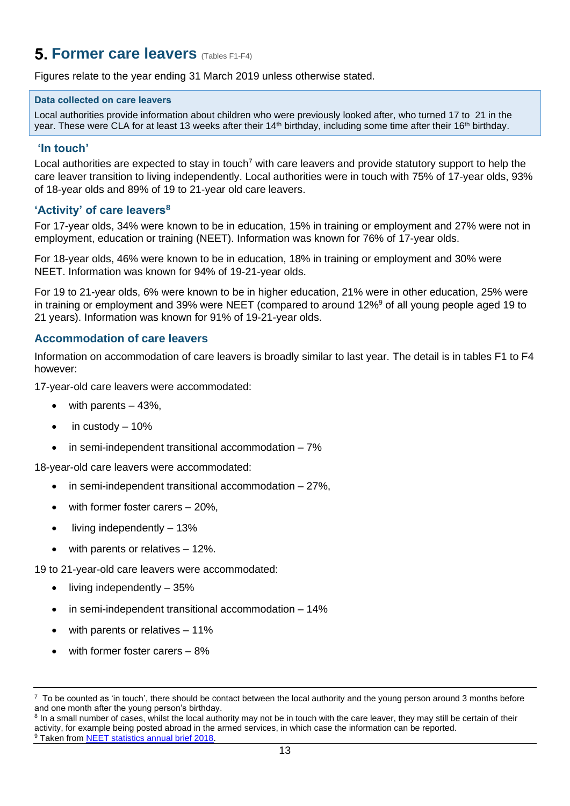# <span id="page-12-0"></span>**5. Former care leavers (Tables F1-F4)**

Figures relate to the year ending 31 March 2019 unless otherwise stated.

#### **Data collected on care leavers**

Local authorities provide information about children who were previously looked after, who turned 17 to 21 in the year. These were CLA for at least 13 weeks after their 14<sup>th</sup> birthday, including some time after their 16<sup>th</sup> birthday.

#### <span id="page-12-1"></span>**'In touch'**

Local authorities are expected to stay in touch<sup>7</sup> with care leavers and provide statutory support to help the care leaver transition to living independently. Local authorities were in touch with 75% of 17-year olds, 93% of 18-year olds and 89% of 19 to 21-year old care leavers.

#### <span id="page-12-2"></span>**'Activity' of care leavers<sup>8</sup>**

For 17-year olds, 34% were known to be in education, 15% in training or employment and 27% were not in employment, education or training (NEET). Information was known for 76% of 17-year olds.

For 18-year olds, 46% were known to be in education, 18% in training or employment and 30% were NEET. Information was known for 94% of 19-21-year olds.

For 19 to 21-year olds, 6% were known to be in higher education, 21% were in other education, 25% were in training or employment and 39% were NEET (compared to around 12%<sup>9</sup> of all young people aged 19 to 21 years). Information was known for 91% of 19-21-year olds.

#### <span id="page-12-3"></span>**Accommodation of care leavers**

Information on accommodation of care leavers is broadly similar to last year. The detail is in tables F1 to F4 however:

17-year-old care leavers were accommodated:

- with parents  $-43%$ ,
- $\bullet$  in custody  $-10\%$
- in semi-independent transitional accommodation 7%

18-year-old care leavers were accommodated:

- in semi-independent transitional accommodation  $-27\%$ .
- with former foster carers  $-20\%$ ,
- living independently 13%
- with parents or relatives  $-12%$ .

19 to 21-year-old care leavers were accommodated:

- living independently 35%
- in semi-independent transitional accommodation 14%
- with parents or relatives 11%
- with former foster carers  $-8\%$

<sup>&</sup>lt;sup>7</sup> To be counted as 'in touch', there should be contact between the local authority and the young person around 3 months before and one month after the young person's birthday.

<sup>&</sup>lt;sup>8</sup> In a small number of cases, whilst the local authority may not be in touch with the care leaver, they may still be certain of their activity, for example being posted abroad in the armed services, in which case the information can be reported. <sup>9</sup> Taken from [NEET statistics annual brief 2018.](https://www.gov.uk/government/statistics/neet-statistics-annual-brief-2018)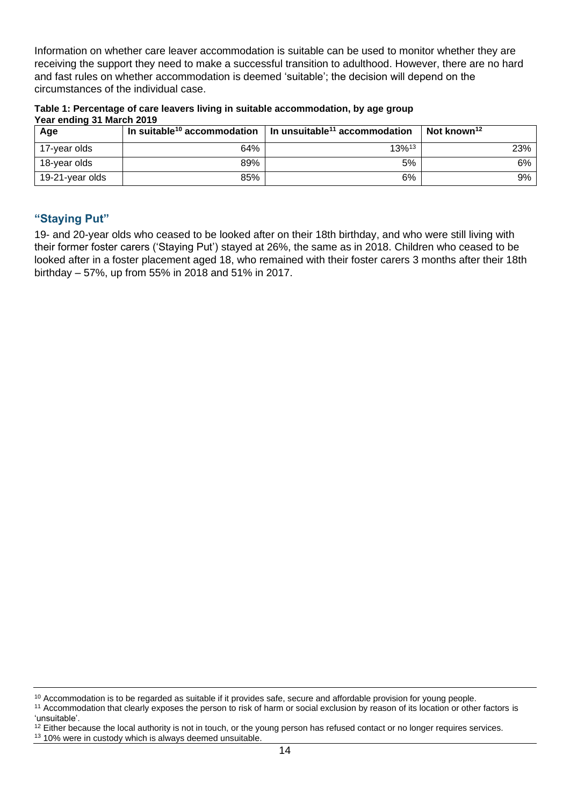Information on whether care leaver accommodation is suitable can be used to monitor whether they are receiving the support they need to make a successful transition to adulthood. However, there are no hard and fast rules on whether accommodation is deemed 'suitable'; the decision will depend on the circumstances of the individual case.

**Table 1: Percentage of care leavers living in suitable accommodation, by age group Year ending 31 March 2019**

| Age             |     | In suitable <sup>10</sup> accommodation $\parallel$ In unsuitable <sup>11</sup> accommodation | Not known <sup>12</sup> |
|-----------------|-----|-----------------------------------------------------------------------------------------------|-------------------------|
| 17-year olds    | 64% | 13% <sup>13</sup>                                                                             | 23%                     |
| 18-year olds    | 89% | 5%                                                                                            | 6%                      |
| 19-21-year olds | 85% | 6%                                                                                            | 9%                      |

### <span id="page-13-0"></span>**"Staying Put"**

19- and 20-year olds who ceased to be looked after on their 18th birthday, and who were still living with their former foster carers ('Staying Put') stayed at 26%, the same as in 2018. Children who ceased to be looked after in a foster placement aged 18, who remained with their foster carers 3 months after their 18th birthday – 57%, up from 55% in 2018 and 51% in 2017.

<sup>&</sup>lt;sup>10</sup> Accommodation is to be regarded as suitable if it provides safe, secure and affordable provision for young people.

<sup>&</sup>lt;sup>11</sup> Accommodation that clearly exposes the person to risk of harm or social exclusion by reason of its location or other factors is 'unsuitable'.

 $12$  Either because the local authority is not in touch, or the young person has refused contact or no longer requires services.

<sup>&</sup>lt;sup>13</sup> 10% were in custody which is always deemed unsuitable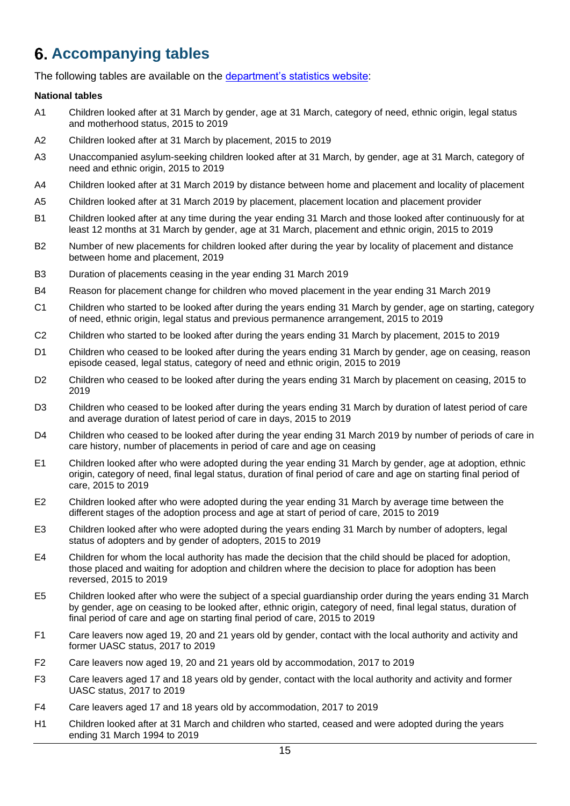# <span id="page-14-0"></span>**Accompanying tables**

The following tables are available on the [department's statistics website:](https://www.gov.uk/government/collections/statistics-looked-after-children)

#### **National tables**

- A1 Children looked after at 31 March by gender, age at 31 March, category of need, ethnic origin, legal status and motherhood status, 2015 to 2019
- A2 Children looked after at 31 March by placement, 2015 to 2019
- A3 Unaccompanied asylum-seeking children looked after at 31 March, by gender, age at 31 March, category of need and ethnic origin, 2015 to 2019
- A4 Children looked after at 31 March 2019 by distance between home and placement and locality of placement
- A5 Children looked after at 31 March 2019 by placement, placement location and placement provider
- B1 Children looked after at any time during the year ending 31 March and those looked after continuously for at least 12 months at 31 March by gender, age at 31 March, placement and ethnic origin, 2015 to 2019
- B2 Number of new placements for children looked after during the year by locality of placement and distance between home and placement, 2019
- B3 Duration of placements ceasing in the year ending 31 March 2019
- B4 Reason for placement change for children who moved placement in the year ending 31 March 2019
- C1 Children who started to be looked after during the years ending 31 March by gender, age on starting, category of need, ethnic origin, legal status and previous permanence arrangement, 2015 to 2019
- C2 Children who started to be looked after during the years ending 31 March by placement, 2015 to 2019
- D1 Children who ceased to be looked after during the years ending 31 March by gender, age on ceasing, reason episode ceased, legal status, category of need and ethnic origin, 2015 to 2019
- D2 Children who ceased to be looked after during the years ending 31 March by placement on ceasing, 2015 to 2019
- D3 Children who ceased to be looked after during the years ending 31 March by duration of latest period of care and average duration of latest period of care in days, 2015 to 2019
- D4 Children who ceased to be looked after during the year ending 31 March 2019 by number of periods of care in care history, number of placements in period of care and age on ceasing
- E1 Children looked after who were adopted during the year ending 31 March by gender, age at adoption, ethnic origin, category of need, final legal status, duration of final period of care and age on starting final period of care, 2015 to 2019
- E2 Children looked after who were adopted during the year ending 31 March by average time between the different stages of the adoption process and age at start of period of care, 2015 to 2019
- E3 Children looked after who were adopted during the years ending 31 March by number of adopters, legal status of adopters and by gender of adopters, 2015 to 2019
- E4 Children for whom the local authority has made the decision that the child should be placed for adoption, those placed and waiting for adoption and children where the decision to place for adoption has been reversed, 2015 to 2019
- E5 Children looked after who were the subject of a special guardianship order during the years ending 31 March by gender, age on ceasing to be looked after, ethnic origin, category of need, final legal status, duration of final period of care and age on starting final period of care, 2015 to 2019
- F1 Care leavers now aged 19, 20 and 21 years old by gender, contact with the local authority and activity and former UASC status, 2017 to 2019
- F2 Care leavers now aged 19, 20 and 21 years old by accommodation, 2017 to 2019
- F3 Care leavers aged 17 and 18 years old by gender, contact with the local authority and activity and former UASC status, 2017 to 2019
- F4 Care leavers aged 17 and 18 years old by accommodation, 2017 to 2019
- H1 Children looked after at 31 March and children who started, ceased and were adopted during the years ending 31 March 1994 to 2019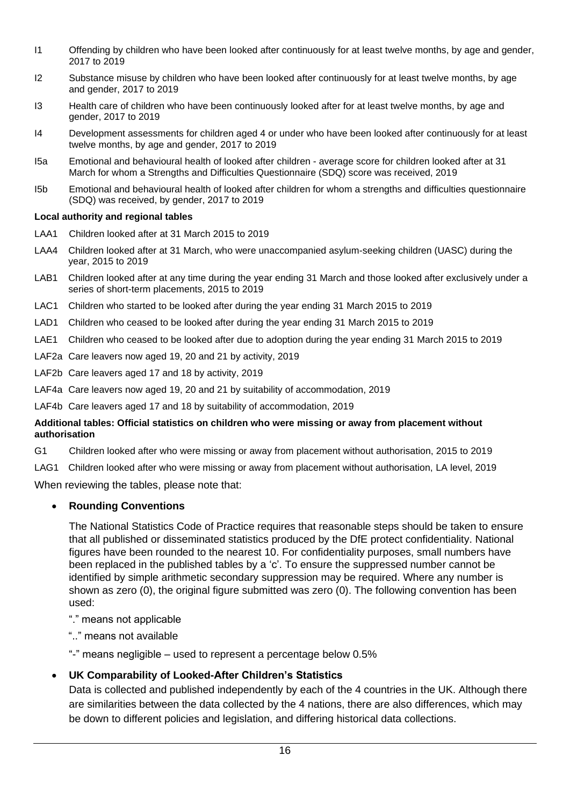- I1 Offending by children who have been looked after continuously for at least twelve months, by age and gender, 2017 to 2019
- I2 Substance misuse by children who have been looked after continuously for at least twelve months, by age and gender, 2017 to 2019
- I3 Health care of children who have been continuously looked after for at least twelve months, by age and gender, 2017 to 2019
- I4 Development assessments for children aged 4 or under who have been looked after continuously for at least twelve months, by age and gender, 2017 to 2019
- I5a Emotional and behavioural health of looked after children average score for children looked after at 31 March for whom a Strengths and Difficulties Questionnaire (SDQ) score was received, 2019
- I5b Emotional and behavioural health of looked after children for whom a strengths and difficulties questionnaire (SDQ) was received, by gender, 2017 to 2019

#### **Local authority and regional tables**

- LAA1 Children looked after at 31 March 2015 to 2019
- LAA4 Children looked after at 31 March, who were unaccompanied asylum-seeking children (UASC) during the year, 2015 to 2019
- LAB1 Children looked after at any time during the year ending 31 March and those looked after exclusively under a series of short-term placements, 2015 to 2019
- LAC1 Children who started to be looked after during the year ending 31 March 2015 to 2019
- LAD1 Children who ceased to be looked after during the year ending 31 March 2015 to 2019
- LAE1 Children who ceased to be looked after due to adoption during the year ending 31 March 2015 to 2019
- LAF2a Care leavers now aged 19, 20 and 21 by activity, 2019
- LAF2b Care leavers aged 17 and 18 by activity, 2019
- LAF4a Care leavers now aged 19, 20 and 21 by suitability of accommodation, 2019

LAF4b Care leavers aged 17 and 18 by suitability of accommodation, 2019

#### **Additional tables: Official statistics on children who were missing or away from placement without authorisation**

- G1 Children looked after who were missing or away from placement without authorisation, 2015 to 2019
- LAG1 Children looked after who were missing or away from placement without authorisation, LA level, 2019

When reviewing the tables, please note that:

#### • **Rounding Conventions**

The National Statistics Code of Practice requires that reasonable steps should be taken to ensure that all published or disseminated statistics produced by the DfE protect confidentiality. National figures have been rounded to the nearest 10. For confidentiality purposes, small numbers have been replaced in the published tables by a 'c'. To ensure the suppressed number cannot be identified by simple arithmetic secondary suppression may be required. Where any number is shown as zero (0), the original figure submitted was zero (0). The following convention has been used:

- "." means not applicable
- ".." means not available
- "-" means negligible used to represent a percentage below 0.5%

#### • **UK Comparability of Looked-After Children's Statistics**

Data is collected and published independently by each of the 4 countries in the UK. Although there are similarities between the data collected by the 4 nations, there are also differences, which may be down to different policies and legislation, and differing historical data collections.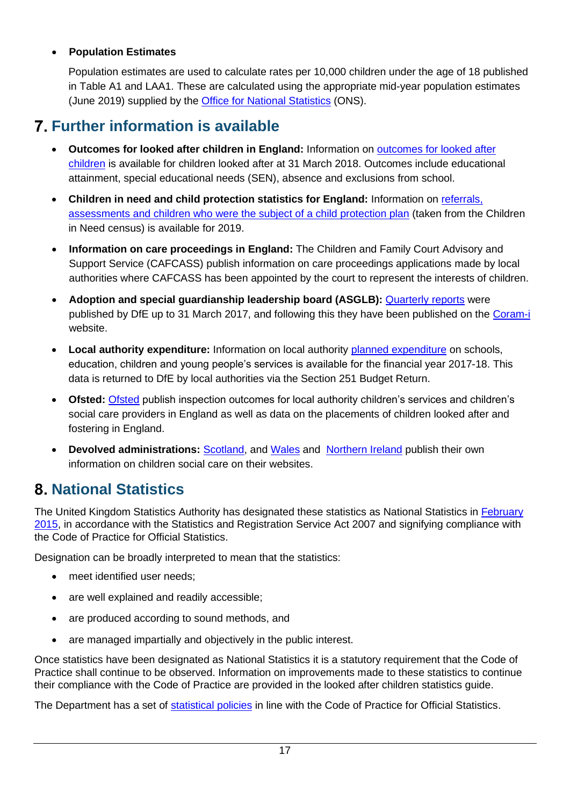# • **Population Estimates**

Population estimates are used to calculate rates per 10,000 children under the age of 18 published in Table A1 and LAA1. These are calculated using the appropriate mid-year population estimates (June 2019) supplied by the [Office for National Statistics](https://www.ons.gov.uk/peoplepopulationandcommunity/populationandmigration/populationestimates) (ONS).

# <span id="page-16-0"></span>**Further information is available**

- **Outcomes for looked after children in England:** Information on [outcomes for looked after](https://www.gov.uk/government/collections/statistics-looked-after-children)  [children](https://www.gov.uk/government/collections/statistics-looked-after-children) is available for children looked after at 31 March 2018. Outcomes include educational attainment, special educational needs (SEN), absence and exclusions from school.
- **Children in need and child protection statistics for England:** Information on [referrals,](https://www.gov.uk/government/collections/statistics-children-in-need)  [assessments and children who were the subject of a child protection plan](https://www.gov.uk/government/collections/statistics-children-in-need) (taken from the Children in Need census) is available for 2019.
- **Information on care proceedings in England:** The Children and Family Court Advisory and Support Service (CAFCASS) publish information on care proceedings applications made by local authorities where CAFCASS has been appointed by the court to represent the interests of children.
- **Adoption and special guardianship leadership board (ASGLB):** [Quarterly reports](https://www.gov.uk/government/collections/adoption-system-performance) were published by DfE up to 31 March 2017, and following this they have been published on the [Coram-i](https://coram-i.org.uk/asglb/data/) website.
- **Local authority expenditure:** Information on local authority [planned expenditure](https://www.gov.uk/government/collections/statistics-local-authority-school-finance-data) on schools, education, children and young people's services is available for the financial year 2017-18. This data is returned to DfE by local authorities via the Section 251 Budget Return.
- **Ofsted:** [Ofsted](http://www.ofsted.gov.uk/resources/statistics) publish inspection outcomes for local authority children's services and children's social care providers in England as well as data on the placements of children looked after and fostering in England.
- **Devolved administrations:** [Scotland,](https://www.gov.scot/Topics/Statistics/Browse/Children/PubChildrenSocialWork) and [Wales](https://gov.wales/statistics-and-research?keywords=looked%20after%20children&field_policy_areas%5B425%5D=425&field_policy_areas%5B43%5D=43&field_stats_research_type%5B1%5D=1&%20All%20=All&published_after=&published_before=) and [Northern Ireland](https://www.health-ni.gov.uk/articles/looked-after-children) publish their own information on children social care on their websites.

# <span id="page-16-1"></span>**National Statistics**

The United Kingdom Statistics Authority has designated these statistics as National Statistics in [February](https://www.statisticsauthority.gov.uk/publication/statistics-on-looked-after-children/)  [2015,](https://www.statisticsauthority.gov.uk/publication/statistics-on-looked-after-children/) in accordance with the Statistics and Registration Service Act 2007 and signifying compliance with the Code of Practice for Official Statistics.

Designation can be broadly interpreted to mean that the statistics:

- meet identified user needs;
- are well explained and readily accessible;
- are produced according to sound methods, and
- are managed impartially and objectively in the public interest.

Once statistics have been designated as National Statistics it is a statutory requirement that the Code of Practice shall continue to be observed. Information on improvements made to these statistics to continue their compliance with the Code of Practice are provided in the looked after children statistics guide.

The Department has a set of [statistical policies](http://www.gov.uk/government/publications/standards-for-official-statistics-published-by-the-department-for-education) in line with the Code of Practice for Official Statistics.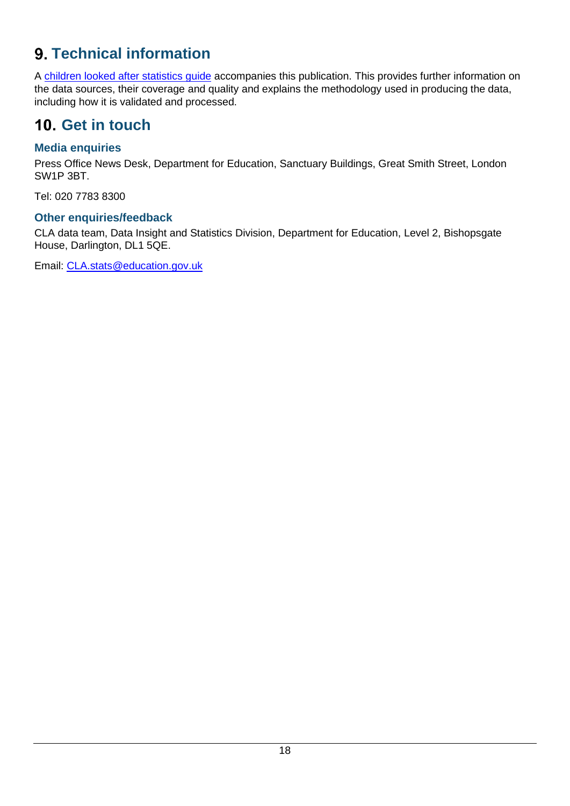# <span id="page-17-0"></span>**Technical information**

A [children looked after statistics guide](https://www.gov.uk/government/publications/looked-after-children-statistics-in-england-guide) accompanies this publication. This provides further information on the data sources, their coverage and quality and explains the methodology used in producing the data, including how it is validated and processed.

# <span id="page-17-1"></span>10. Get in touch

# <span id="page-17-2"></span>**Media enquiries**

Press Office News Desk, Department for Education, Sanctuary Buildings, Great Smith Street, London SW1P 3BT.

Tel: 020 7783 8300

# <span id="page-17-3"></span>**Other enquiries/feedback**

CLA data team, Data Insight and Statistics Division, Department for Education, Level 2, Bishopsgate House, Darlington, DL1 5QE.

Email: [CLA.stats@education.gov.uk](mailto:CLA.stats@education.gov.uk)